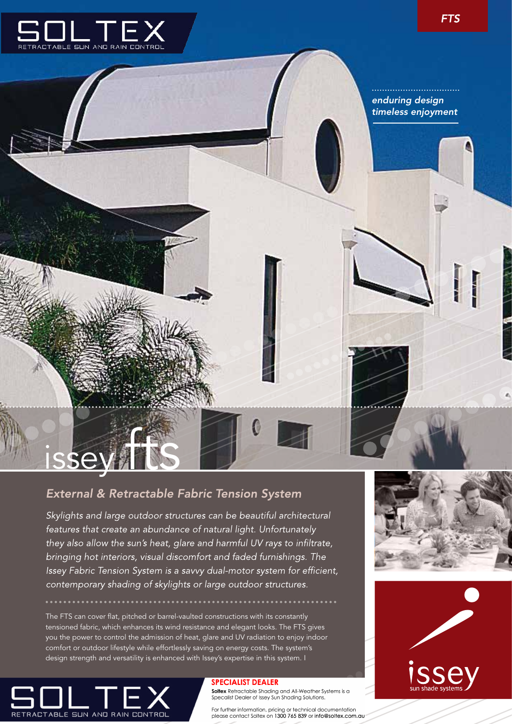

# External & Retractable Fabric Tension System

Skylights and large outdoor structures can be beautiful architectural features that create an abundance of natural light. Unfortunately they also allow the sun's heat, glare and harmful UV rays to infiltrate, bringing hot interiors, visual discomfort and faded furnishings. The Issey Fabric Tension System is a savvy dual-motor system for efficient, contemporary shading of skylights or large outdoor structures.

The FTS can cover flat, pitched or barrel-vaulted constructions with its constantly tensioned fabric, which enhances its wind resistance and elegant looks. The FTS gives you the power to control the admission of heat, glare and UV radiation to enjoy indoor comfort or outdoor lifestyle while effortlessly saving on energy costs. The system's design strength and versatility is enhanced with Issey's expertise in this system. I



**isse** 

#### **SPECIALIST DEALER**

Soltex Retractable Shading and All-Weather Systems is a Specalist Dealer of Issey Sun Shading Solutions.

For further information, pricing or technical documentation<br>please contact Soltex on 1300 765 839 or info@soltex.com.au



. . . . . . . . .